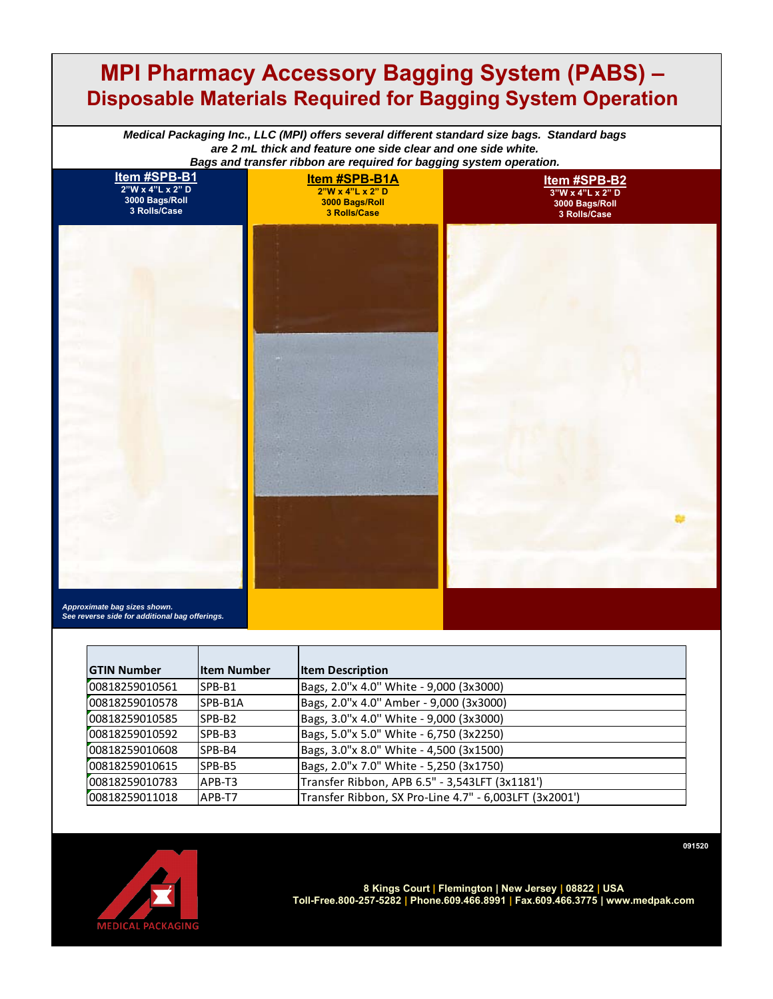## **MPI Pharmacy Accessory Bagging System (PABS) – Disposable Materials Required for Bagging System Operation**

*Medical Packaging Inc., LLC (MPI) offers several different standard size bags. Standard bags are 2 mL thick and feature one side clear and one side white.* 



*Approximate bag sizes shown. See reverse side for additional bag offerings.*

| <b>GTIN Number</b> | <b>Iltem Number</b> | <b>Item Description</b>                                |
|--------------------|---------------------|--------------------------------------------------------|
|                    |                     |                                                        |
| 00818259010561     | ISPB-B1             | Bags, 2.0"x 4.0" White - 9,000 (3x3000)                |
| 00818259010578     | ISPB-B1A            | Bags, 2.0"x 4.0" Amber - 9,000 (3x3000)                |
| 00818259010585     | ISPB-B2             | Bags, 3.0"x 4.0" White - 9,000 (3x3000)                |
| 00818259010592     | ISPB-B3             | Bags, 5.0"x 5.0" White - 6,750 (3x2250)                |
| 00818259010608     | ISPB-B4             | Bags, 3.0"x 8.0" White - 4,500 (3x1500)                |
| 00818259010615     | ISPB-B5             | Bags, 2.0"x 7.0" White - 5,250 (3x1750)                |
| 00818259010783     | APB-T3              | Transfer Ribbon, APB 6.5" - 3,543LFT (3x1181')         |
| 00818259011018     | APB-T7              | Transfer Ribbon, SX Pro-Line 4.7" - 6,003LFT (3x2001') |



**8 Kings Court | Flemington | New Jersey | 08822 | USA Toll-Free.800-257-5282 | Phone.609.466.8991 | Fax.609.466.3775 | www.medpak.com**

**091520**